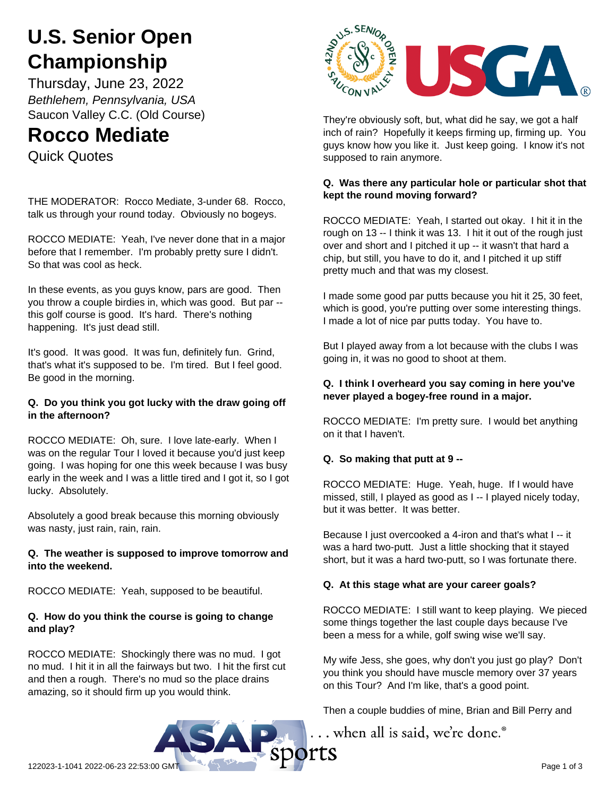# **U.S. Senior Open Championship**

Thursday, June 23, 2022 *Bethlehem, Pennsylvania, USA* Saucon Valley C.C. (Old Course)

# **Rocco Mediate**

Quick Quotes

THE MODERATOR: Rocco Mediate, 3-under 68. Rocco, talk us through your round today. Obviously no bogeys.

ROCCO MEDIATE: Yeah, I've never done that in a major before that I remember. I'm probably pretty sure I didn't. So that was cool as heck.

In these events, as you guys know, pars are good. Then you throw a couple birdies in, which was good. But par - this golf course is good. It's hard. There's nothing happening. It's just dead still.

It's good. It was good. It was fun, definitely fun. Grind, that's what it's supposed to be. I'm tired. But I feel good. Be good in the morning.

#### **Q. Do you think you got lucky with the draw going off in the afternoon?**

ROCCO MEDIATE: Oh, sure. I love late-early. When I was on the regular Tour I loved it because you'd just keep going. I was hoping for one this week because I was busy early in the week and I was a little tired and I got it, so I got lucky. Absolutely.

Absolutely a good break because this morning obviously was nasty, just rain, rain, rain.

#### **Q. The weather is supposed to improve tomorrow and into the weekend.**

ROCCO MEDIATE: Yeah, supposed to be beautiful.

# **Q. How do you think the course is going to change and play?**

ROCCO MEDIATE: Shockingly there was no mud. I got no mud. I hit it in all the fairways but two. I hit the first cut and then a rough. There's no mud so the place drains amazing, so it should firm up you would think.



They're obviously soft, but, what did he say, we got a half inch of rain? Hopefully it keeps firming up, firming up. You guys know how you like it. Just keep going. I know it's not supposed to rain anymore.

# **Q. Was there any particular hole or particular shot that kept the round moving forward?**

ROCCO MEDIATE: Yeah, I started out okay. I hit it in the rough on 13 -- I think it was 13. I hit it out of the rough just over and short and I pitched it up -- it wasn't that hard a chip, but still, you have to do it, and I pitched it up stiff pretty much and that was my closest.

I made some good par putts because you hit it 25, 30 feet, which is good, you're putting over some interesting things. I made a lot of nice par putts today. You have to.

But I played away from a lot because with the clubs I was going in, it was no good to shoot at them.

# **Q. I think I overheard you say coming in here you've never played a bogey-free round in a major.**

ROCCO MEDIATE: I'm pretty sure. I would bet anything on it that I haven't.

# **Q. So making that putt at 9 --**

ROCCO MEDIATE: Huge. Yeah, huge. If I would have missed, still, I played as good as I -- I played nicely today, but it was better. It was better.

Because I just overcooked a 4-iron and that's what I -- it was a hard two-putt. Just a little shocking that it stayed short, but it was a hard two-putt, so I was fortunate there.

# **Q. At this stage what are your career goals?**

ROCCO MEDIATE: I still want to keep playing. We pieced some things together the last couple days because I've been a mess for a while, golf swing wise we'll say.

My wife Jess, she goes, why don't you just go play? Don't you think you should have muscle memory over 37 years on this Tour? And I'm like, that's a good point.

Then a couple buddies of mine, Brian and Bill Perry and

.. when all is said, we're done.®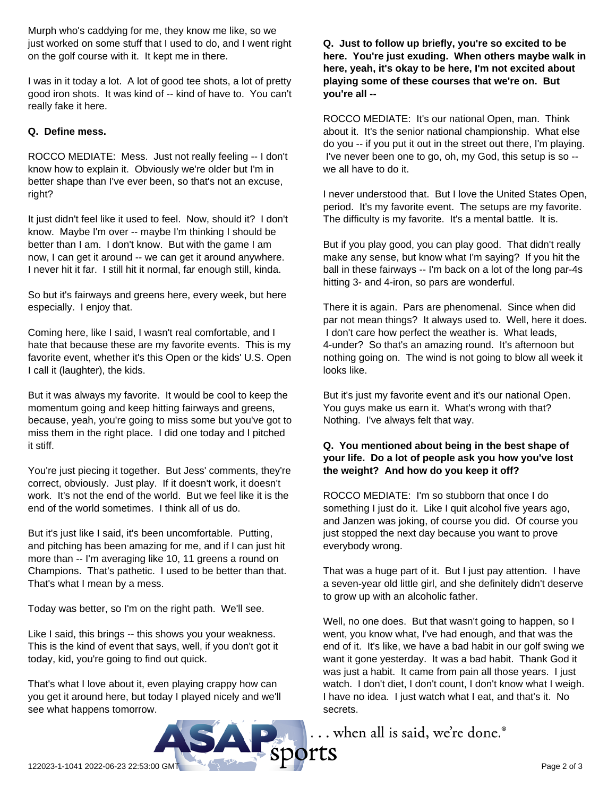Murph who's caddying for me, they know me like, so we just worked on some stuff that I used to do, and I went right on the golf course with it. It kept me in there.

I was in it today a lot. A lot of good tee shots, a lot of pretty good iron shots. It was kind of -- kind of have to. You can't really fake it here.

#### **Q. Define mess.**

ROCCO MEDIATE: Mess. Just not really feeling -- I don't know how to explain it. Obviously we're older but I'm in better shape than I've ever been, so that's not an excuse, right?

It just didn't feel like it used to feel. Now, should it? I don't know. Maybe I'm over -- maybe I'm thinking I should be better than I am. I don't know. But with the game I am now, I can get it around -- we can get it around anywhere. I never hit it far. I still hit it normal, far enough still, kinda.

So but it's fairways and greens here, every week, but here especially. I enjoy that.

Coming here, like I said, I wasn't real comfortable, and I hate that because these are my favorite events. This is my favorite event, whether it's this Open or the kids' U.S. Open I call it (laughter), the kids.

But it was always my favorite. It would be cool to keep the momentum going and keep hitting fairways and greens, because, yeah, you're going to miss some but you've got to miss them in the right place. I did one today and I pitched it stiff.

You're just piecing it together. But Jess' comments, they're correct, obviously. Just play. If it doesn't work, it doesn't work. It's not the end of the world. But we feel like it is the end of the world sometimes. I think all of us do.

But it's just like I said, it's been uncomfortable. Putting, and pitching has been amazing for me, and if I can just hit more than -- I'm averaging like 10, 11 greens a round on Champions. That's pathetic. I used to be better than that. That's what I mean by a mess.

Today was better, so I'm on the right path. We'll see.

Like I said, this brings -- this shows you your weakness. This is the kind of event that says, well, if you don't got it today, kid, you're going to find out quick.

That's what I love about it, even playing crappy how can you get it around here, but today I played nicely and we'll see what happens tomorrow.

**Q. Just to follow up briefly, you're so excited to be here. You're just exuding. When others maybe walk in here, yeah, it's okay to be here, I'm not excited about playing some of these courses that we're on. But you're all --**

ROCCO MEDIATE: It's our national Open, man. Think about it. It's the senior national championship. What else do you -- if you put it out in the street out there, I'm playing. I've never been one to go, oh, my God, this setup is so - we all have to do it.

I never understood that. But I love the United States Open, period. It's my favorite event. The setups are my favorite. The difficulty is my favorite. It's a mental battle. It is.

But if you play good, you can play good. That didn't really make any sense, but know what I'm saying? If you hit the ball in these fairways -- I'm back on a lot of the long par-4s hitting 3- and 4-iron, so pars are wonderful.

There it is again. Pars are phenomenal. Since when did par not mean things? It always used to. Well, here it does. I don't care how perfect the weather is. What leads, 4-under? So that's an amazing round. It's afternoon but nothing going on. The wind is not going to blow all week it looks like.

But it's just my favorite event and it's our national Open. You guys make us earn it. What's wrong with that? Nothing. I've always felt that way.

#### **Q. You mentioned about being in the best shape of your life. Do a lot of people ask you how you've lost the weight? And how do you keep it off?**

ROCCO MEDIATE: I'm so stubborn that once I do something I just do it. Like I quit alcohol five years ago, and Janzen was joking, of course you did. Of course you just stopped the next day because you want to prove everybody wrong.

That was a huge part of it. But I just pay attention. I have a seven-year old little girl, and she definitely didn't deserve to grow up with an alcoholic father.

Well, no one does. But that wasn't going to happen, so I went, you know what, I've had enough, and that was the end of it. It's like, we have a bad habit in our golf swing we want it gone yesterday. It was a bad habit. Thank God it was just a habit. It came from pain all those years. I just watch. I don't diet, I don't count, I don't know what I weigh. I have no idea. I just watch what I eat, and that's it. No secrets.

... when all is said, we're done.<sup>®</sup>